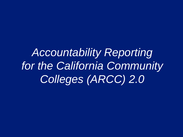*Accountability Reporting for the California Community Colleges (ARCC) 2.0*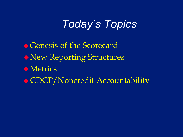# *Today's Topics*

◆ Genesis of the Scorecard New Reporting Structures **Metrics** CDCP/Noncredit Accountability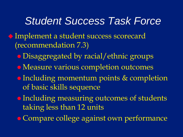#### *Student Success Task Force*

- Implement a student success scorecard (recommendation 7.3)
	- Disaggregated by racial/ethnic groups
	- Measure various completion outcomes
	- Including momentum points & completion of basic skills sequence
	- Including measuring outcomes of students taking less than 12 units
	- Compare college against own performance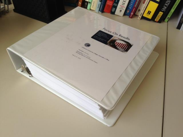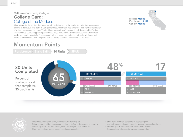#### California Community Colleges **College Card:** College of the Modocs

It is a long established fact that a reader will be distracted by the readable content of a page when looking at its layout. The point of using Lorem Ipsum is that it has a more-or-less normal distribution of letters, as opposed to using 'Content here, content here', making it look like readable English. Many desktop publishing packages and web page editors now use Lorem Ipsum as their default model text, and a search for 'lorem ipsum' will uncover many web sites still in their infancy. Various versions have evolved over the years, sometimes by accident, sometimes on purpose.

#### **Momentum Points**





Lorem ipsum dolor sit amet, consectetur adipiscing elit. Pellentesque tincidunt consequat sapien, quis fermentum purus pharetra a. Nullam dignissim porttitor quam, vitae ullamcorper diam iaculis nec. Etiam consectetur metus eu nisl egestas consectetur.

- · Sum dolor sit amet, consectetur adipiscing elit.
- · incidunt consequat sapien, quis fermentum purus pharetra a.l
- · Porttitor quam, vitae ullamcorper diam iaculis nec.
- · Consectetur metus eu nisl egestas consectetur.

District: Modoc Enrollment: 14,127 County: Modoc

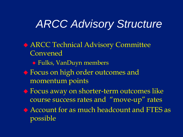## *ARCC Advisory Structure*

 ARCC Technical Advisory Committee Convened

- Fulks, VanDuyn members
- Focus on high order outcomes and momentum points
- Focus away on shorter-term outcomes like course success rates and "move-up" rates
- Account for as much headcount and FTES as possible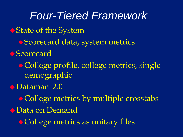*Four-Tiered Framework*  ◆ State of the System Scorecard data, system metrics Scorecard • College profile, college metrics, single demographic ◆Datamart 2.0 • College metrics by multiple crosstabs Data on Demand • College metrics as unitary files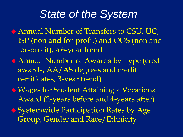## *State of the System*

- Annual Number of Transfers to CSU, UC, ISP (non and for-profit) and OOS (non and for-profit), a 6-year trend
- Annual Number of Awards by Type (credit awards, AA/AS degrees and credit certificates, 3-year trend)
- Wages for Student Attaining a Vocational Award (2-years before and 4-years after)
- ◆ Systemwide Participation Rates by Age Group, Gender and Race/Ethnicity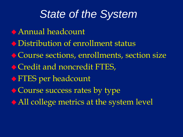## *State of the System*

- Annual headcount
- Distribution of enrollment status
- Course sections, enrollments, section size
- ◆ Credit and noncredit FTES,
- FTES per headcount
- $\bullet$  Course success rates by type
- All college metrics at the system level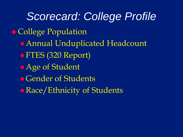*Scorecard: College Profile*  College Population Annual Unduplicated Headcount FTES (320 Report) Age of Student **• Gender of Students** • Race/Ethnicity of Students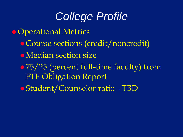## *College Profile*

- ◆ Operational Metrics
	- Course sections (credit/noncredit)
	- Median section size
	- 75/25 (percent full-time faculty) from FTF Obligation Report
	- Student/Counselor ratio TBD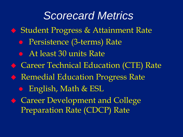## *Scorecard Metrics*

- ◆ Student Progress & Attainment Rate
	- Persistence (3-terms) Rate
	- At least 30 units Rate
- ◆ Career Technical Education (CTE) Rate
- ◆ Remedial Education Progress Rate
	- English, Math & ESL
- Career Development and College Preparation Rate (CDCP) Rate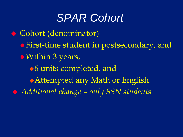## *SPAR Cohort*

 Cohort (denominator) First-time student in postsecondary, and • Within 3 years, ◆6 units completed, and Attempted any Math or English *Additional change – only SSN students*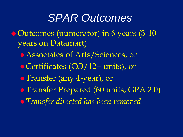### *SPAR Outcomes*

- Outcomes (numerator) in 6 years (3-10 years on Datamart)
	- Associates of Arts/Sciences, or
	- Certificates (CO/12+ units), or
	- Transfer (any 4-year), or
	- Transfer Prepared (60 units, GPA 2.0)
	- *Transfer directed has been removed*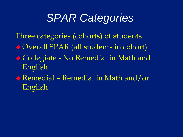## *SPAR Categories*

Three categories (cohorts) of students Overall SPAR (all students in cohort) ◆ Collegiate - No Remedial in Math and English Remedial – Remedial in Math and/or

English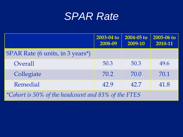#### *SPAR Rate*

|                                                     | 2003-04 to<br>2008-09 | 2004-05 to<br>2009-10 | 2005-06 to<br>2010-11 |
|-----------------------------------------------------|-----------------------|-----------------------|-----------------------|
| SPAR Rate (6 units, in 3 years*)                    |                       |                       |                       |
| Overall                                             | 50.3                  | 50.3                  | 49.6                  |
| Collegiate                                          | 70.2                  | 70.0                  | 70.1                  |
| Remedial                                            | 42.9                  | 42.7                  | 41.8                  |
| *Cohort is 50% of the headcount and 83% of the FTES |                       |                       |                       |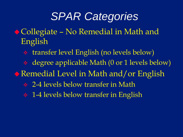## *SPAR Categories*

- ◆ Collegiate No Remedial in Math and English
	- transfer level English (no levels below)
	- degree applicable Math (0 or 1 levels below)
- ◆ Remedial Level in Math and/or English
	- **2-4 levels below transfer in Math**
	- **↑ 1-4 levels below transfer in English**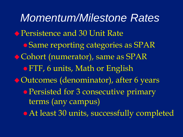*Momentum/Milestone Rates*  ◆ Persistence and 30 Unit Rate Same reporting categories as SPAR Cohort (numerator), same as SPAR FTF, 6 units, Math or English Outcomes (denominator), after 6 years • Persisted for 3 consecutive primary terms (any campus) • At least 30 units, successfully completed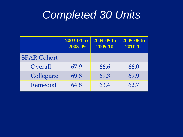## *Completed 30 Units*

|                    | $2003 - 04$ to<br>2008-09 | 2004-05 to<br>2009-10 | 2005-06 to<br>2010-11 |
|--------------------|---------------------------|-----------------------|-----------------------|
| <b>SPAR Cohort</b> |                           |                       |                       |
| Overall            | 67.9                      | 66.6                  | 66.0                  |
| Collegiate         | 69.8                      | 69.3                  | 69.9                  |
| Remedial           | 64.8                      | 63.4                  | 62.7                  |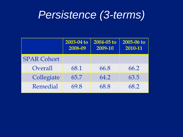## *Persistence (3-terms)*

|                    | 2003-04 to<br>2008-09 | 2004-05 to<br>2009-10 | $2005 - 06$ to<br>2010-11 |
|--------------------|-----------------------|-----------------------|---------------------------|
| <b>SPAR Cohort</b> |                       |                       |                           |
| Overall            | 68.1                  | 66.8                  | 66.2                      |
| Collegiate         | 65.7                  | 64.2                  | 63.5                      |
| Remedial           | 69.8                  | 68.8                  | 68.2                      |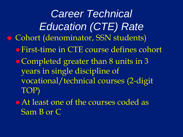*Career Technical Education (CTE) Rate* ◆ Cohort (denominator, SSN students) First-time in CTE course defines cohort Completed greater than 8 units in 3 years in single discipline of vocational/technical courses (2-digit TOP)

• At least one of the courses coded as Sam B or C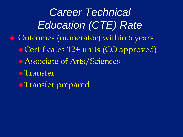*Career Technical Education (CTE) Rate* Outcomes (numerator) within 6 years Certificates 12+ units (CO approved) Associate of Arts/Sciences **• Transfer • Transfer prepared**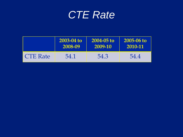#### *CTE Rate*

|                 | 2003-04 to | $2004 - 05$ to | 2005-06 to |
|-----------------|------------|----------------|------------|
|                 | 2008-09    | 2009-10        | 2010-11    |
| <b>CTE Rate</b> | 54.1       | 54.3           | 54.4       |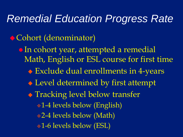#### *Remedial Education Progress Rate*

#### ◆ Cohort (denominator)

• In cohort year, attempted a remedial Math, English or ESL course for first time Exclude dual enrollments in 4-years Level determined by first attempt **• Tracking level below transfer** 1-4 levels below (English) 2-4 levels below (Math) 1-6 levels below (ESL)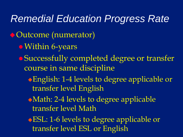*Remedial Education Progress Rate*  Outcome (numerator) Within 6-years Successfully completed degree or transfer course in same discipline English: 1-4 levels to degree applicable or transfer level English Math: 2-4 levels to degree applicable transfer level Math ESL: 1-6 levels to degree applicable or transfer level ESL or English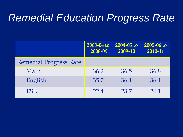## *Remedial Education Progress Rate*

|                               | 2003-04 to<br>2008-09 | 2004-05 to<br>2009-10 | 2005-06 to<br>2010-11 |
|-------------------------------|-----------------------|-----------------------|-----------------------|
| <b>Remedial Progress Rate</b> |                       |                       |                       |
| Math                          | 36.2                  | 36.5                  | 36.8                  |
| English                       | 35.7                  | 36.1                  | 36.4                  |
| ESL                           | 22.4                  | 23.7                  | 24.1                  |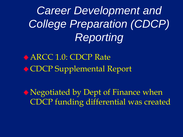*Career Development and College Preparation (CDCP) Reporting*

◆ ARCC 1.0: CDCP Rate CDCP Supplemental Report

Negotiated by Dept of Finance when CDCP funding differential was created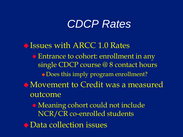## *CDCP Rates*

Issues with ARCC 1.0 Rates • Entrance to cohort: enrollment in any single CDCP course @ 8 contact hours Does this imply program enrollment? Movement to Credit was a measured outcome Meaning cohort could not include NCR/CR co-enrolled students ◆ Data collection issues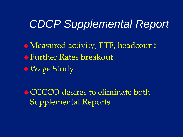## *CDCP Supplemental Report*

Measured activity, FTE, headcount Further Rates breakout  $\bullet$  Wage Study

◆ CCCCO desires to eliminate both Supplemental Reports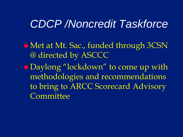#### *CDCP /Noncredit Taskforce*

Met at Mt. Sac., funded through 3CSN @ directed by ASCCC Daylong "lockdown" to come up with methodologies and recommendations

to bring to ARCC Scorecard Advisory **Committee**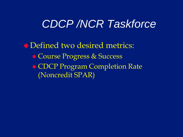## *CDCP /NCR Taskforce*

Defined two desired metrics: • Course Progress & Success CDCP Program Completion Rate (Noncredit SPAR)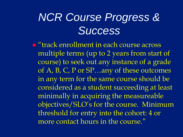## *NCR Course Progress & Success*

**•** "track enrollment in each course across multiple terms (up to 2 years from start of course) to seek out any instance of a grade of A, B, C, P or SP...any of these outcomes in any term for the same course should be considered as a student succeeding at least minimally in acquiring the measureable objectives/SLO's for the course. Minimum threshold for entry into the cohort: 4 or more contact hours in the course."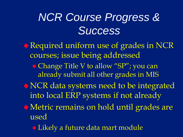# *NCR Course Progress & Success*

Required uniform use of grades in NCR courses; issue being addressed • Change Title V to allow "SP"; you can already submit all other grades in MIS NCR data systems need to be integrated into local ERP systems if not already Metric remains on hold until grades are used Likely a future data mart module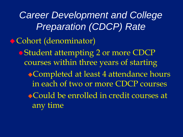*Career Development and College Preparation (CDCP) Rate* Cohort (denominator) Student attempting 2 or more CDCP courses within three years of starting ◆Completed at least 4 attendance hours in each of two or more CDCP courses Could be enrolled in credit courses at any time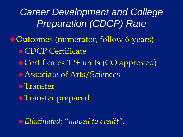**Career Development and College** *Preparation (CDCP) Rate*

Outcomes (numerator, follow 6-years) **• CDCP Certificate** • Certificates 12+ units (CO approved) Associate of Arts/Sciences **• Transfer • Transfer prepared** 

*Eliminated: "moved to credit".*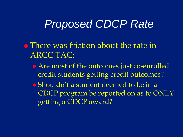#### *Proposed CDCP Rate*

- $\lozenge$  There was friction about the rate in ARCC TAC:
	- Are most of the outcomes just co-enrolled credit students getting credit outcomes?
	- Shouldn't a student deemed to be in a CDCP program be reported on as to ONLY getting a CDCP award?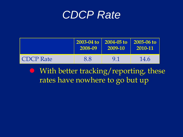

|                  | 2008-09 | 2003-04 to 2004-05 to 2005-06 to<br>2009-10 | $-2010 - 11$ |
|------------------|---------|---------------------------------------------|--------------|
| <b>CDCP</b> Rate | 88      | 91                                          | 14.6         |

 With better tracking/reporting, these rates have nowhere to go but up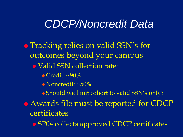#### *CDCP/Noncredit Data*

◆ Tracking relies on valid SSN's for outcomes beyond your campus • Valid SSN collection rate:  $\triangle$  Credit:  $\sim 90\%$  Noncredit: ~50% Should we limit cohort to valid SSN's only? Awards file must be reported for CDCP certificates SP04 collects approved CDCP certificates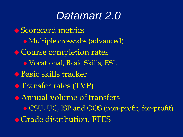#### *Datamart 2.0*

◆ Scorecard metrics Multiple crosstabs (advanced) **♦ Course completion rates**  Vocational, Basic Skills, ESL ◆ Basic skills tracker  $\triangle$  Transfer rates (TVP) Annual volume of transfers CSU, UC, ISP and OOS (non-profit, for-profit) ◆ Grade distribution, FTES